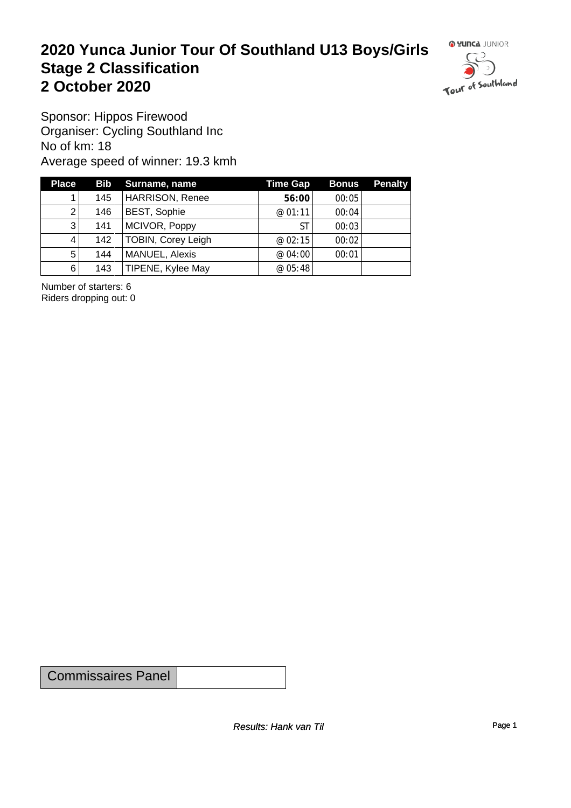#### **2020 Yunca Junior Tour Of Southland U13 Boys/Girls** Stage 2 Classification<br>
2 October 2020 **2 October 2020**



Sponsor: Hippos Firewood Organiser: Cycling Southland Inc No of km: 18 Average speed of winner: 19.3 kmh

| <b>Place</b> |     | <b>Bib</b> Surname, name  | <b>Time Gap</b> | <b>Bonus</b> | <b>Penalty</b> |
|--------------|-----|---------------------------|-----------------|--------------|----------------|
|              | 145 | <b>HARRISON, Renee</b>    | 56:00           | 00:05        |                |
| 2            | 146 | <b>BEST, Sophie</b>       | @01:11          | 00:04        |                |
| 3            | 141 | MCIVOR, Poppy             | ST              | 00:03        |                |
| 4            | 142 | <b>TOBIN, Corey Leigh</b> | @02:15          | 00:02        |                |
| $5^{\circ}$  | 144 | MANUEL, Alexis            | @ 04:00         | 00:01        |                |
| 6            | 143 | TIPENE, Kylee May         | @ 05:48         |              |                |

Number of starters: 6 Riders dropping out: 0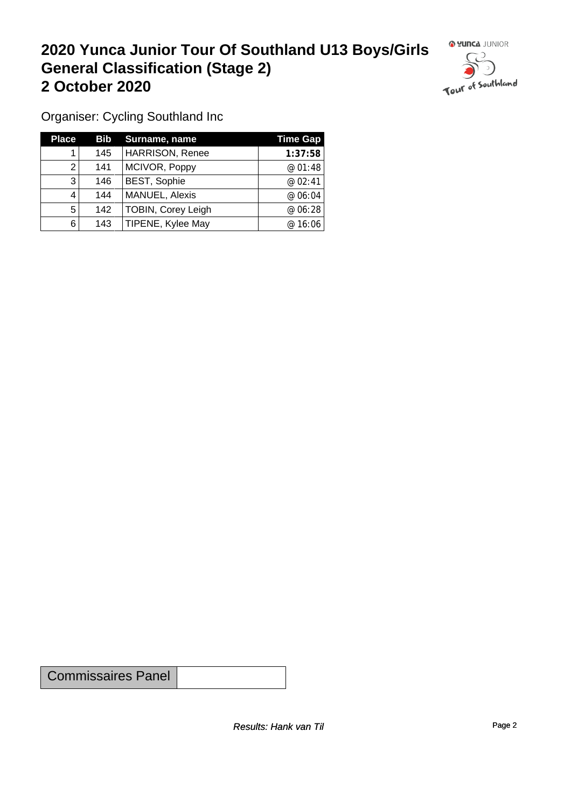## **2020 Yunca Junior Tour Of Southland U13 Boys/Girls General Classification (Stage 2)**<br>
2 October 2020 **2 October 2020**



Organiser: Cycling Southland Inc

| <b>Place</b> |     | <b>Bib</b> Surname, name  | Time Gap |
|--------------|-----|---------------------------|----------|
|              | 145 | <b>HARRISON, Renee</b>    | 1:37:58  |
| 2            | 141 | MCIVOR, Poppy             | @01:48   |
| 3            | 146 | <b>BEST, Sophie</b>       | @02:41   |
| 4            | 144 | MANUEL, Alexis            | @ 06:04  |
| 5            | 142 | <b>TOBIN, Corey Leigh</b> | @ 06:28  |
| 6            | 143 | TIPENE, Kylee May         | @ 16:06  |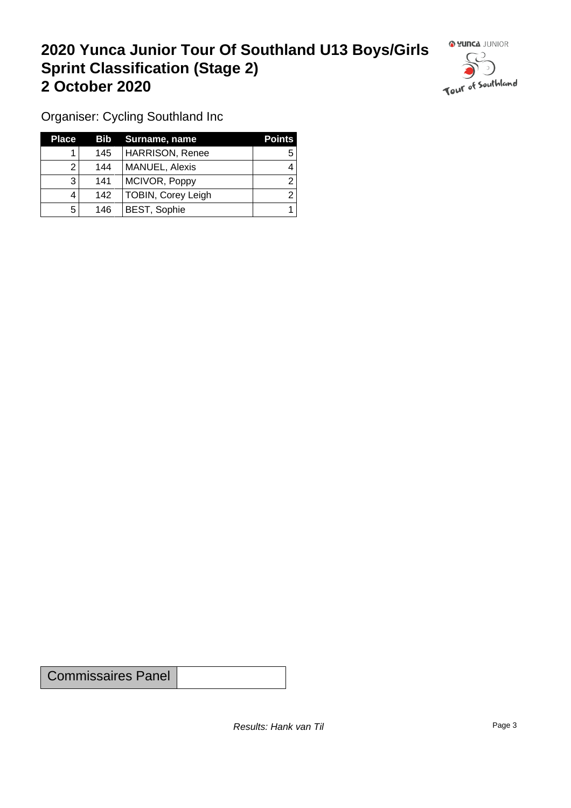### **2020 Yunca Junior Tour Of Southland U13 Boys/Girls Sprint Classification (Stage 2) 2 October 2020**



Organiser: Cycling Southland Inc

| <b>Place</b> |     | <b>Bib</b> Surname, name | <b>Points</b> |
|--------------|-----|--------------------------|---------------|
|              | 145 | HARRISON, Renee          |               |
|              | 144 | MANUEL, Alexis           |               |
| 3            | 141 | MCIVOR, Poppy            |               |
|              | 142 | TOBIN, Corey Leigh       |               |
| 5            | 146 | <b>BEST, Sophie</b>      |               |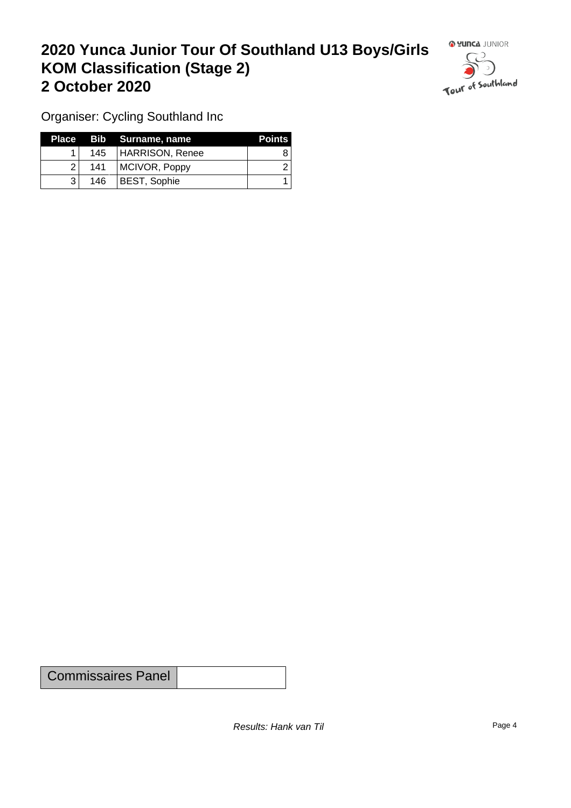### **2020 Yunca Junior Tour Of Southland U13 Boys/Girls KOM Classification (Stage 2) 2 October 2020**



Organiser: Cycling Southland Inc

|                |     | Place Bib Surname, name | <b>Points</b> |
|----------------|-----|-------------------------|---------------|
|                |     | 145   HARRISON, Renee   |               |
| $\overline{2}$ | 141 | MCIVOR, Poppy           |               |
|                | 146 | BEST, Sophie            |               |